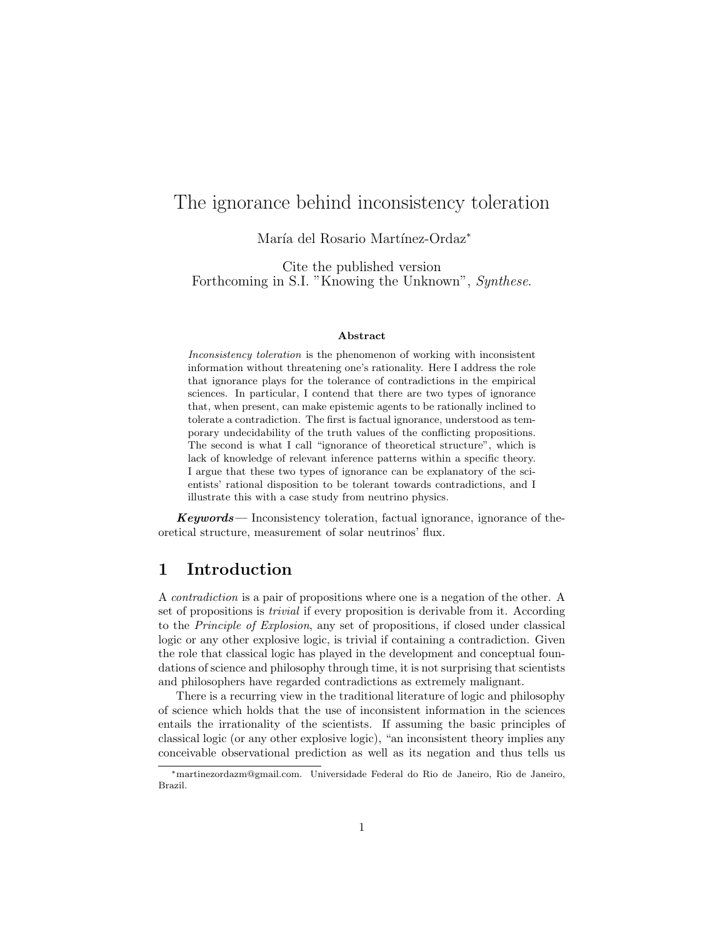# The ignorance behind inconsistency toleration

María del Rosario Martínez-Ordaz<sup>∗</sup>

Cite the published version Forthcoming in S.I. "Knowing the Unknown", Synthese.

#### Abstract

Inconsistency toleration is the phenomenon of working with inconsistent information without threatening one's rationality. Here I address the role that ignorance plays for the tolerance of contradictions in the empirical sciences. In particular, I contend that there are two types of ignorance that, when present, can make epistemic agents to be rationally inclined to tolerate a contradiction. The first is factual ignorance, understood as temporary undecidability of the truth values of the conflicting propositions. The second is what I call "ignorance of theoretical structure", which is lack of knowledge of relevant inference patterns within a specific theory. I argue that these two types of ignorance can be explanatory of the scientists' rational disposition to be tolerant towards contradictions, and I illustrate this with a case study from neutrino physics.

Keywords— Inconsistency toleration, factual ignorance, ignorance of theoretical structure, measurement of solar neutrinos' flux.

# 1 Introduction

A contradiction is a pair of propositions where one is a negation of the other. A set of propositions is trivial if every proposition is derivable from it. According to the Principle of Explosion, any set of propositions, if closed under classical logic or any other explosive logic, is trivial if containing a contradiction. Given the role that classical logic has played in the development and conceptual foundations of science and philosophy through time, it is not surprising that scientists and philosophers have regarded contradictions as extremely malignant.

There is a recurring view in the traditional literature of logic and philosophy of science which holds that the use of inconsistent information in the sciences entails the irrationality of the scientists. If assuming the basic principles of classical logic (or any other explosive logic), "an inconsistent theory implies any conceivable observational prediction as well as its negation and thus tells us

<sup>∗</sup>martinezordazm@gmail.com. Universidade Federal do Rio de Janeiro, Rio de Janeiro, Brazil.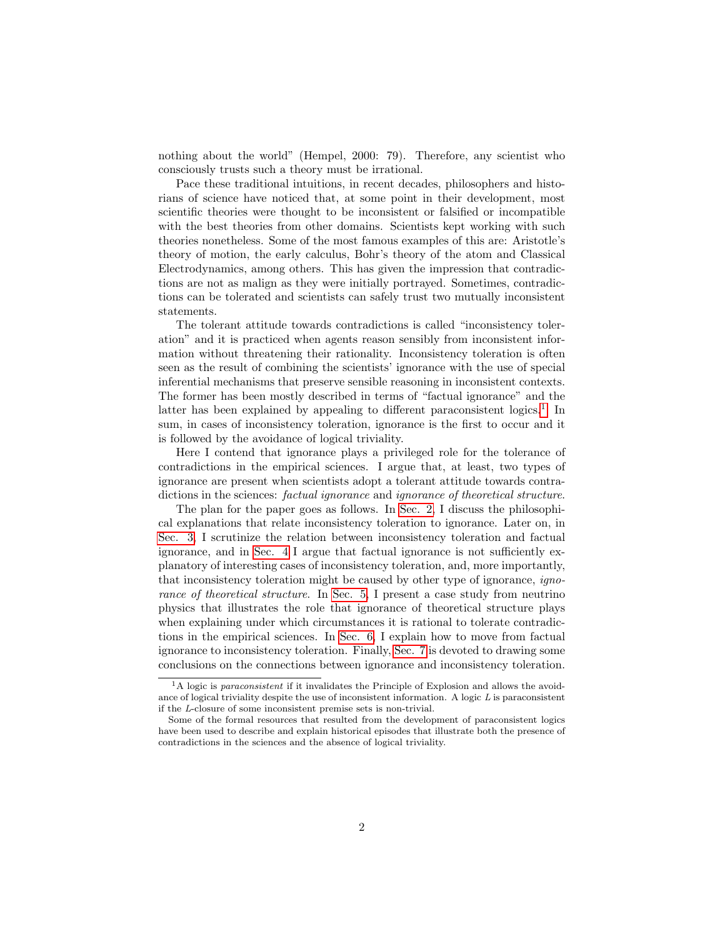nothing about the world" (Hempel, 2000: 79). Therefore, any scientist who consciously trusts such a theory must be irrational.

Pace these traditional intuitions, in recent decades, philosophers and historians of science have noticed that, at some point in their development, most scientific theories were thought to be inconsistent or falsified or incompatible with the best theories from other domains. Scientists kept working with such theories nonetheless. Some of the most famous examples of this are: Aristotle's theory of motion, the early calculus, Bohr's theory of the atom and Classical Electrodynamics, among others. This has given the impression that contradictions are not as malign as they were initially portrayed. Sometimes, contradictions can be tolerated and scientists can safely trust two mutually inconsistent statements.

The tolerant attitude towards contradictions is called "inconsistency toleration" and it is practiced when agents reason sensibly from inconsistent information without threatening their rationality. Inconsistency toleration is often seen as the result of combining the scientists' ignorance with the use of special inferential mechanisms that preserve sensible reasoning in inconsistent contexts. The former has been mostly described in terms of "factual ignorance" and the latter has been explained by appealing to different paraconsistent logics.<sup>[1](#page-1-0)</sup> In sum, in cases of inconsistency toleration, ignorance is the first to occur and it is followed by the avoidance of logical triviality.

Here I contend that ignorance plays a privileged role for the tolerance of contradictions in the empirical sciences. I argue that, at least, two types of ignorance are present when scientists adopt a tolerant attitude towards contradictions in the sciences: *factual ignorance* and *ignorance* of *theoretical structure*.

The plan for the paper goes as follows. In [Sec. 2,](#page-2-0) I discuss the philosophical explanations that relate inconsistency toleration to ignorance. Later on, in [Sec. 3,](#page-5-0) I scrutinize the relation between inconsistency toleration and factual ignorance, and in [Sec. 4](#page-8-0) I argue that factual ignorance is not sufficiently explanatory of interesting cases of inconsistency toleration, and, more importantly, that inconsistency toleration might be caused by other type of ignorance, igno-rance of theoretical structure. In [Sec. 5,](#page-13-0) I present a case study from neutrino physics that illustrates the role that ignorance of theoretical structure plays when explaining under which circumstances it is rational to tolerate contradictions in the empirical sciences. In [Sec. 6,](#page-17-0) I explain how to move from factual ignorance to inconsistency toleration. Finally, [Sec. 7](#page-20-0) is devoted to drawing some conclusions on the connections between ignorance and inconsistency toleration.

<span id="page-1-0"></span><sup>&</sup>lt;sup>1</sup>A logic is paraconsistent if it invalidates the Principle of Explosion and allows the avoidance of logical triviality despite the use of inconsistent information. A logic  $L$  is paraconsistent if the L-closure of some inconsistent premise sets is non-trivial.

Some of the formal resources that resulted from the development of paraconsistent logics have been used to describe and explain historical episodes that illustrate both the presence of contradictions in the sciences and the absence of logical triviality.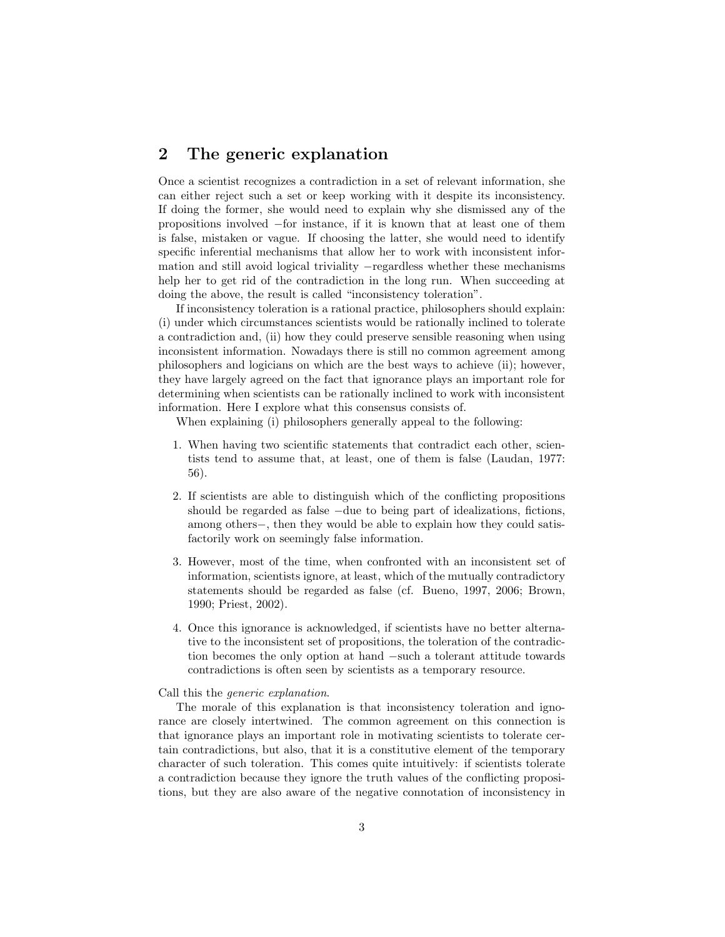# <span id="page-2-0"></span>2 The generic explanation

Once a scientist recognizes a contradiction in a set of relevant information, she can either reject such a set or keep working with it despite its inconsistency. If doing the former, she would need to explain why she dismissed any of the propositions involved −for instance, if it is known that at least one of them is false, mistaken or vague. If choosing the latter, she would need to identify specific inferential mechanisms that allow her to work with inconsistent information and still avoid logical triviality −regardless whether these mechanisms help her to get rid of the contradiction in the long run. When succeeding at doing the above, the result is called "inconsistency toleration".

If inconsistency toleration is a rational practice, philosophers should explain: (i) under which circumstances scientists would be rationally inclined to tolerate a contradiction and, (ii) how they could preserve sensible reasoning when using inconsistent information. Nowadays there is still no common agreement among philosophers and logicians on which are the best ways to achieve (ii); however, they have largely agreed on the fact that ignorance plays an important role for determining when scientists can be rationally inclined to work with inconsistent information. Here I explore what this consensus consists of.

When explaining (i) philosophers generally appeal to the following:

- 1. When having two scientific statements that contradict each other, scientists tend to assume that, at least, one of them is false (Laudan, 1977: 56).
- 2. If scientists are able to distinguish which of the conflicting propositions should be regarded as false −due to being part of idealizations, fictions, among others−, then they would be able to explain how they could satisfactorily work on seemingly false information.
- 3. However, most of the time, when confronted with an inconsistent set of information, scientists ignore, at least, which of the mutually contradictory statements should be regarded as false (cf. Bueno, 1997, 2006; Brown, 1990; Priest, 2002).
- 4. Once this ignorance is acknowledged, if scientists have no better alternative to the inconsistent set of propositions, the toleration of the contradiction becomes the only option at hand −such a tolerant attitude towards contradictions is often seen by scientists as a temporary resource.

#### Call this the generic explanation.

The morale of this explanation is that inconsistency toleration and ignorance are closely intertwined. The common agreement on this connection is that ignorance plays an important role in motivating scientists to tolerate certain contradictions, but also, that it is a constitutive element of the temporary character of such toleration. This comes quite intuitively: if scientists tolerate a contradiction because they ignore the truth values of the conflicting propositions, but they are also aware of the negative connotation of inconsistency in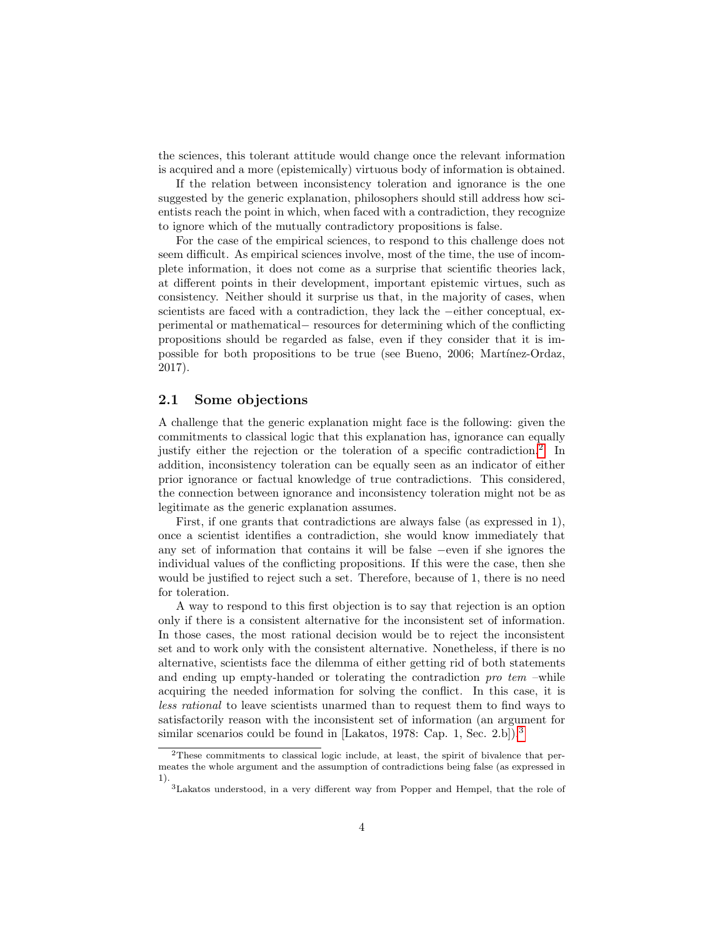the sciences, this tolerant attitude would change once the relevant information is acquired and a more (epistemically) virtuous body of information is obtained.

If the relation between inconsistency toleration and ignorance is the one suggested by the generic explanation, philosophers should still address how scientists reach the point in which, when faced with a contradiction, they recognize to ignore which of the mutually contradictory propositions is false.

For the case of the empirical sciences, to respond to this challenge does not seem difficult. As empirical sciences involve, most of the time, the use of incomplete information, it does not come as a surprise that scientific theories lack, at different points in their development, important epistemic virtues, such as consistency. Neither should it surprise us that, in the majority of cases, when scientists are faced with a contradiction, they lack the −either conceptual, experimental or mathematical− resources for determining which of the conflicting propositions should be regarded as false, even if they consider that it is impossible for both propositions to be true (see Bueno, 2006; Martínez-Ordaz, 2017).

#### 2.1 Some objections

A challenge that the generic explanation might face is the following: given the commitments to classical logic that this explanation has, ignorance can equally justify either the rejection or the toleration of a specific contradiction.<sup>[2](#page-3-0)</sup> In addition, inconsistency toleration can be equally seen as an indicator of either prior ignorance or factual knowledge of true contradictions. This considered, the connection between ignorance and inconsistency toleration might not be as legitimate as the generic explanation assumes.

First, if one grants that contradictions are always false (as expressed in 1), once a scientist identifies a contradiction, she would know immediately that any set of information that contains it will be false −even if she ignores the individual values of the conflicting propositions. If this were the case, then she would be justified to reject such a set. Therefore, because of 1, there is no need for toleration.

A way to respond to this first objection is to say that rejection is an option only if there is a consistent alternative for the inconsistent set of information. In those cases, the most rational decision would be to reject the inconsistent set and to work only with the consistent alternative. Nonetheless, if there is no alternative, scientists face the dilemma of either getting rid of both statements and ending up empty-handed or tolerating the contradiction  $pro$  tem –while acquiring the needed information for solving the conflict. In this case, it is less rational to leave scientists unarmed than to request them to find ways to satisfactorily reason with the inconsistent set of information (an argument for similar scenarios could be found in [Lakatos, 1978: Cap. 1, Sec. 2.b]).<sup>[3](#page-3-1)</sup>

<span id="page-3-0"></span><sup>2</sup>These commitments to classical logic include, at least, the spirit of bivalence that permeates the whole argument and the assumption of contradictions being false (as expressed in 1).

<span id="page-3-1"></span><sup>3</sup>Lakatos understood, in a very different way from Popper and Hempel, that the role of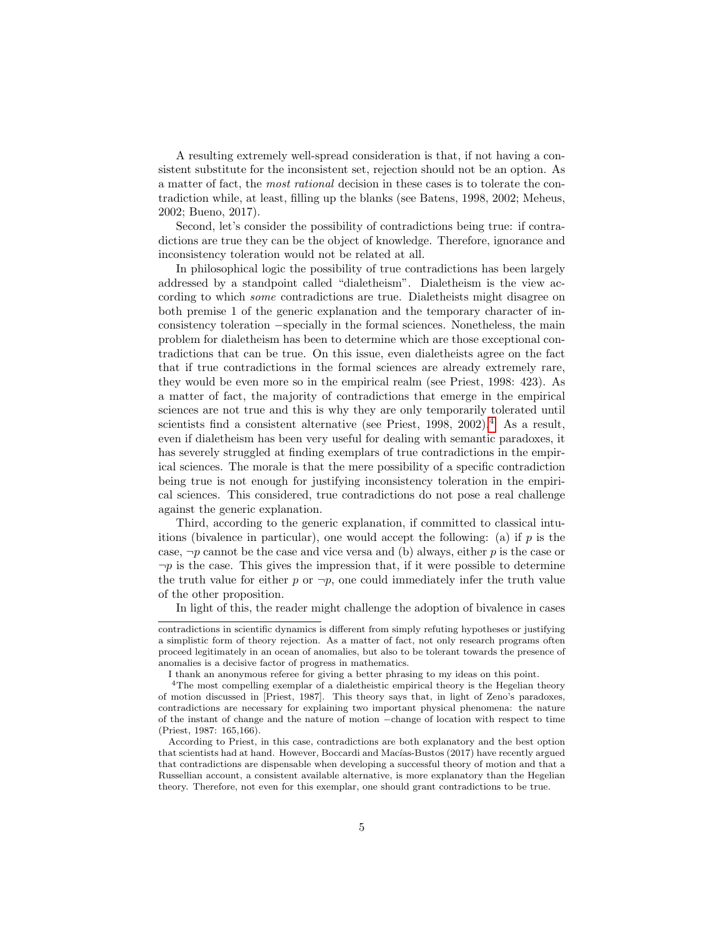A resulting extremely well-spread consideration is that, if not having a consistent substitute for the inconsistent set, rejection should not be an option. As a matter of fact, the most rational decision in these cases is to tolerate the contradiction while, at least, filling up the blanks (see Batens, 1998, 2002; Meheus, 2002; Bueno, 2017).

Second, let's consider the possibility of contradictions being true: if contradictions are true they can be the object of knowledge. Therefore, ignorance and inconsistency toleration would not be related at all.

In philosophical logic the possibility of true contradictions has been largely addressed by a standpoint called "dialetheism". Dialetheism is the view according to which some contradictions are true. Dialetheists might disagree on both premise 1 of the generic explanation and the temporary character of inconsistency toleration −specially in the formal sciences. Nonetheless, the main problem for dialetheism has been to determine which are those exceptional contradictions that can be true. On this issue, even dialetheists agree on the fact that if true contradictions in the formal sciences are already extremely rare, they would be even more so in the empirical realm (see Priest, 1998: 423). As a matter of fact, the majority of contradictions that emerge in the empirical sciences are not true and this is why they are only temporarily tolerated until scientists find a consistent alternative (see Priest,  $1998, 2002$ ).<sup>[4](#page-4-0)</sup> As a result, even if dialetheism has been very useful for dealing with semantic paradoxes, it has severely struggled at finding exemplars of true contradictions in the empirical sciences. The morale is that the mere possibility of a specific contradiction being true is not enough for justifying inconsistency toleration in the empirical sciences. This considered, true contradictions do not pose a real challenge against the generic explanation.

Third, according to the generic explanation, if committed to classical intuitions (bivalence in particular), one would accept the following: (a) if  $p$  is the case,  $\neg p$  cannot be the case and vice versa and (b) always, either p is the case or  $\neg p$  is the case. This gives the impression that, if it were possible to determine the truth value for either p or  $\neg p$ , one could immediately infer the truth value of the other proposition.

In light of this, the reader might challenge the adoption of bivalence in cases

contradictions in scientific dynamics is different from simply refuting hypotheses or justifying a simplistic form of theory rejection. As a matter of fact, not only research programs often proceed legitimately in an ocean of anomalies, but also to be tolerant towards the presence of anomalies is a decisive factor of progress in mathematics.

<span id="page-4-0"></span>I thank an anonymous referee for giving a better phrasing to my ideas on this point.

<sup>&</sup>lt;sup>4</sup>The most compelling exemplar of a dialetheistic empirical theory is the Hegelian theory of motion discussed in [Priest, 1987]. This theory says that, in light of Zeno's paradoxes, contradictions are necessary for explaining two important physical phenomena: the nature of the instant of change and the nature of motion −change of location with respect to time (Priest, 1987: 165,166).

According to Priest, in this case, contradictions are both explanatory and the best option that scientists had at hand. However, Boccardi and Macías-Bustos (2017) have recently argued that contradictions are dispensable when developing a successful theory of motion and that a Russellian account, a consistent available alternative, is more explanatory than the Hegelian theory. Therefore, not even for this exemplar, one should grant contradictions to be true.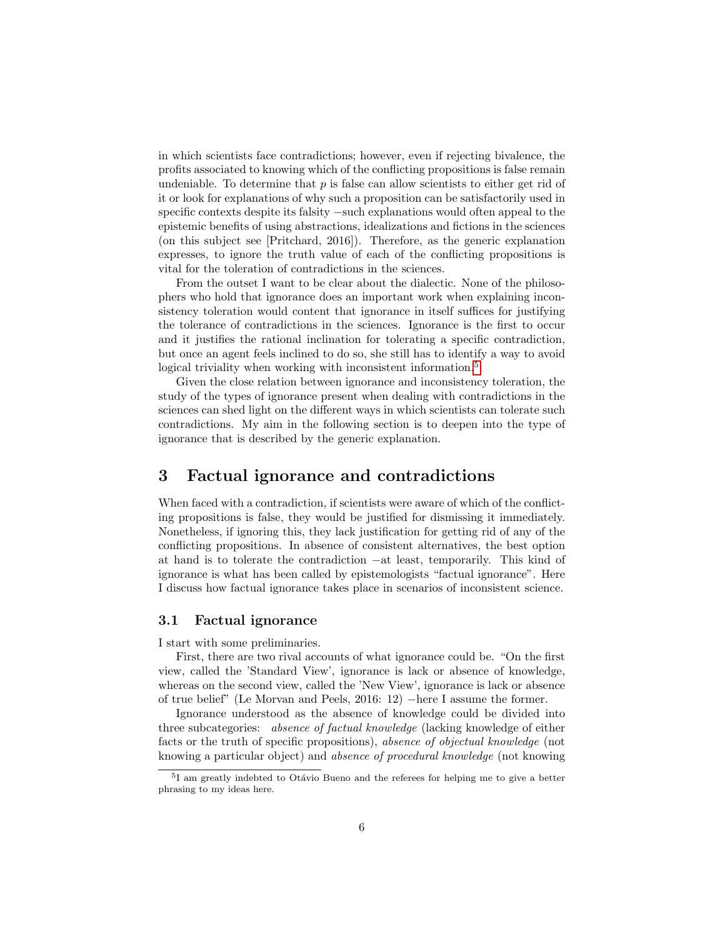in which scientists face contradictions; however, even if rejecting bivalence, the profits associated to knowing which of the conflicting propositions is false remain undeniable. To determine that  $p$  is false can allow scientists to either get rid of it or look for explanations of why such a proposition can be satisfactorily used in specific contexts despite its falsity −such explanations would often appeal to the epistemic benefits of using abstractions, idealizations and fictions in the sciences (on this subject see [Pritchard, 2016]). Therefore, as the generic explanation expresses, to ignore the truth value of each of the conflicting propositions is vital for the toleration of contradictions in the sciences.

From the outset I want to be clear about the dialectic. None of the philosophers who hold that ignorance does an important work when explaining inconsistency toleration would content that ignorance in itself suffices for justifying the tolerance of contradictions in the sciences. Ignorance is the first to occur and it justifies the rational inclination for tolerating a specific contradiction, but once an agent feels inclined to do so, she still has to identify a way to avoid logical triviality when working with inconsistent information.<sup>[5](#page-5-1)</sup>

Given the close relation between ignorance and inconsistency toleration, the study of the types of ignorance present when dealing with contradictions in the sciences can shed light on the different ways in which scientists can tolerate such contradictions. My aim in the following section is to deepen into the type of ignorance that is described by the generic explanation.

## <span id="page-5-0"></span>3 Factual ignorance and contradictions

When faced with a contradiction, if scientists were aware of which of the conflicting propositions is false, they would be justified for dismissing it immediately. Nonetheless, if ignoring this, they lack justification for getting rid of any of the conflicting propositions. In absence of consistent alternatives, the best option at hand is to tolerate the contradiction −at least, temporarily. This kind of ignorance is what has been called by epistemologists "factual ignorance". Here I discuss how factual ignorance takes place in scenarios of inconsistent science.

#### 3.1 Factual ignorance

I start with some preliminaries.

First, there are two rival accounts of what ignorance could be. "On the first view, called the 'Standard View', ignorance is lack or absence of knowledge, whereas on the second view, called the 'New View', ignorance is lack or absence of true belief" (Le Morvan and Peels, 2016: 12) −here I assume the former.

Ignorance understood as the absence of knowledge could be divided into three subcategories: absence of factual knowledge (lacking knowledge of either facts or the truth of specific propositions), absence of objectual knowledge (not knowing a particular object) and absence of procedural knowledge (not knowing

<span id="page-5-1"></span><sup>&</sup>lt;sup>5</sup>I am greatly indebted to Otávio Bueno and the referees for helping me to give a better phrasing to my ideas here.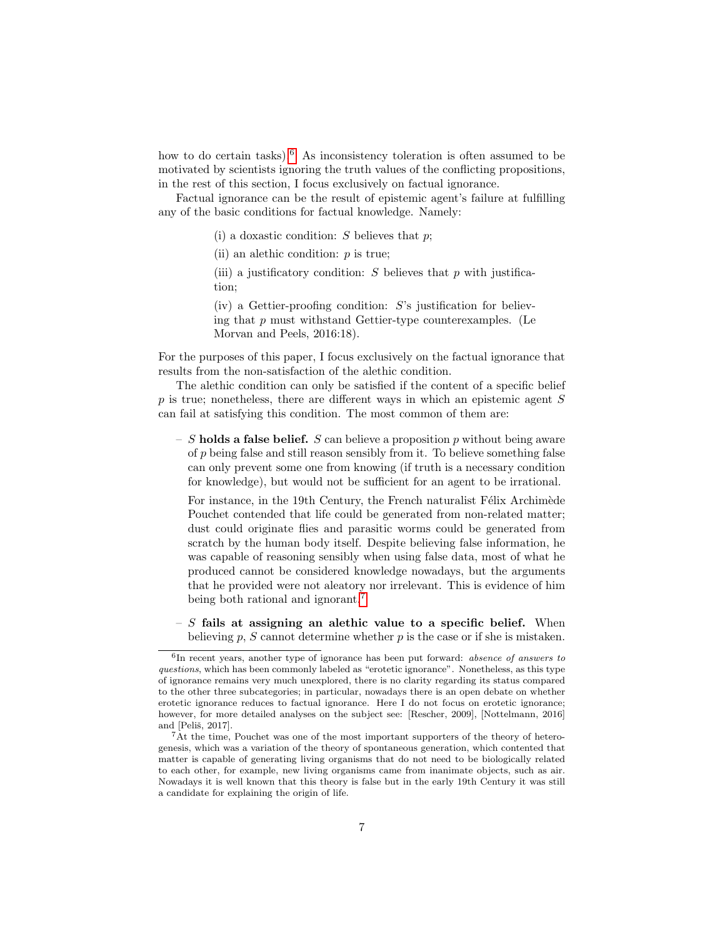how to do certain tasks). $6$  As inconsistency toleration is often assumed to be motivated by scientists ignoring the truth values of the conflicting propositions, in the rest of this section, I focus exclusively on factual ignorance.

Factual ignorance can be the result of epistemic agent's failure at fulfilling any of the basic conditions for factual knowledge. Namely:

(i) a doxastic condition:  $S$  believes that  $p$ ;

(ii) an alethic condition:  $p$  is true;

(iii) a justificatory condition:  $S$  believes that  $p$  with justification;

 $(iv)$  a Gettier-proofing condition:  $S$ 's justification for believing that  $p$  must withstand Gettier-type counterexamples. (Le Morvan and Peels, 2016:18).

For the purposes of this paper, I focus exclusively on the factual ignorance that results from the non-satisfaction of the alethic condition.

The alethic condition can only be satisfied if the content of a specific belief p is true; nonetheless, there are different ways in which an epistemic agent S can fail at satisfying this condition. The most common of them are:

– S holds a false belief. S can believe a proposition p without being aware of p being false and still reason sensibly from it. To believe something false can only prevent some one from knowing (if truth is a necessary condition for knowledge), but would not be sufficient for an agent to be irrational.

For instance, in the 19th Century, the French naturalist Félix Archimède Pouchet contended that life could be generated from non-related matter; dust could originate flies and parasitic worms could be generated from scratch by the human body itself. Despite believing false information, he was capable of reasoning sensibly when using false data, most of what he produced cannot be considered knowledge nowadays, but the arguments that he provided were not aleatory nor irrelevant. This is evidence of him being both rational and ignorant.<sup>[7](#page-6-1)</sup>

 $- S$  fails at assigning an alethic value to a specific belief. When believing p, S cannot determine whether  $p$  is the case or if she is mistaken.

<span id="page-6-0"></span><sup>&</sup>lt;sup>6</sup>In recent years, another type of ignorance has been put forward: *absence of answers to* questions, which has been commonly labeled as "erotetic ignorance". Nonetheless, as this type of ignorance remains very much unexplored, there is no clarity regarding its status compared to the other three subcategories; in particular, nowadays there is an open debate on whether erotetic ignorance reduces to factual ignorance. Here I do not focus on erotetic ignorance; however, for more detailed analyses on the subject see: [Rescher, 2009], [Nottelmann, 2016] and [Peliš, 2017].

<span id="page-6-1"></span><sup>7</sup>At the time, Pouchet was one of the most important supporters of the theory of heterogenesis, which was a variation of the theory of spontaneous generation, which contented that matter is capable of generating living organisms that do not need to be biologically related to each other, for example, new living organisms came from inanimate objects, such as air. Nowadays it is well known that this theory is false but in the early 19th Century it was still a candidate for explaining the origin of life.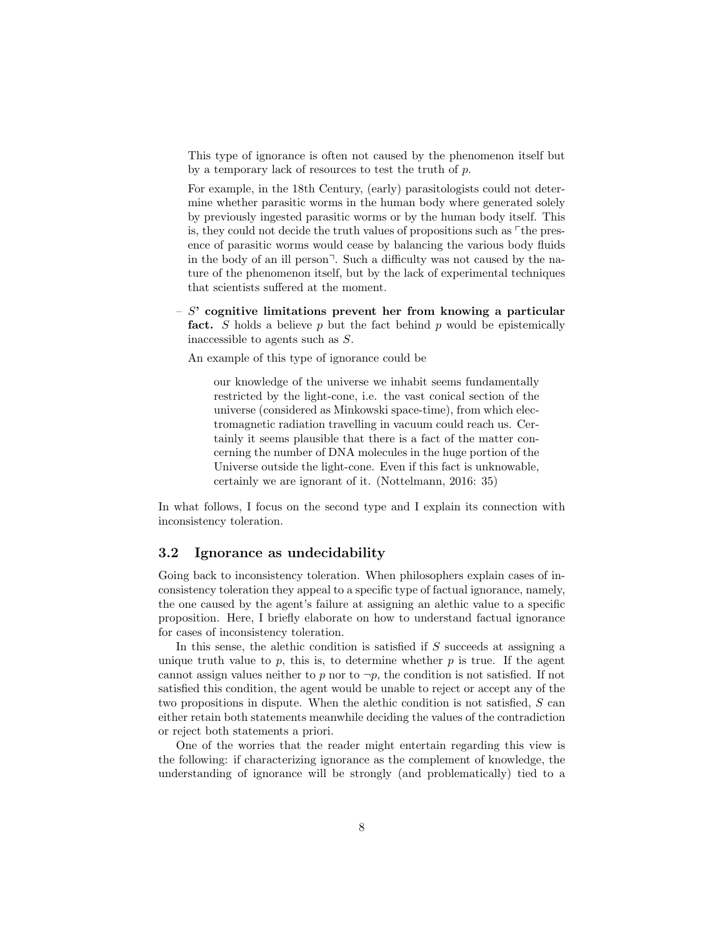This type of ignorance is often not caused by the phenomenon itself but by a temporary lack of resources to test the truth of p.

For example, in the 18th Century, (early) parasitologists could not determine whether parasitic worms in the human body where generated solely by previously ingested parasitic worms or by the human body itself. This is, they could not decide the truth values of propositions such as  $\ulcorner$  the presence of parasitic worms would cease by balancing the various body fluids in the body of an ill person<sup> $\exists$ </sup>. Such a difficulty was not caused by the nature of the phenomenon itself, but by the lack of experimental techniques that scientists suffered at the moment.

 $- S'$  cognitive limitations prevent her from knowing a particular fact. S holds a believe  $p$  but the fact behind  $p$  would be epistemically inaccessible to agents such as S.

An example of this type of ignorance could be

our knowledge of the universe we inhabit seems fundamentally restricted by the light-cone, i.e. the vast conical section of the universe (considered as Minkowski space-time), from which electromagnetic radiation travelling in vacuum could reach us. Certainly it seems plausible that there is a fact of the matter concerning the number of DNA molecules in the huge portion of the Universe outside the light-cone. Even if this fact is unknowable, certainly we are ignorant of it. (Nottelmann, 2016: 35)

In what follows, I focus on the second type and I explain its connection with inconsistency toleration.

#### 3.2 Ignorance as undecidability

Going back to inconsistency toleration. When philosophers explain cases of inconsistency toleration they appeal to a specific type of factual ignorance, namely, the one caused by the agent's failure at assigning an alethic value to a specific proposition. Here, I briefly elaborate on how to understand factual ignorance for cases of inconsistency toleration.

In this sense, the alethic condition is satisfied if S succeeds at assigning a unique truth value to p, this is, to determine whether  $p$  is true. If the agent cannot assign values neither to p nor to  $\neg p$ , the condition is not satisfied. If not satisfied this condition, the agent would be unable to reject or accept any of the two propositions in dispute. When the alethic condition is not satisfied, S can either retain both statements meanwhile deciding the values of the contradiction or reject both statements a priori.

One of the worries that the reader might entertain regarding this view is the following: if characterizing ignorance as the complement of knowledge, the understanding of ignorance will be strongly (and problematically) tied to a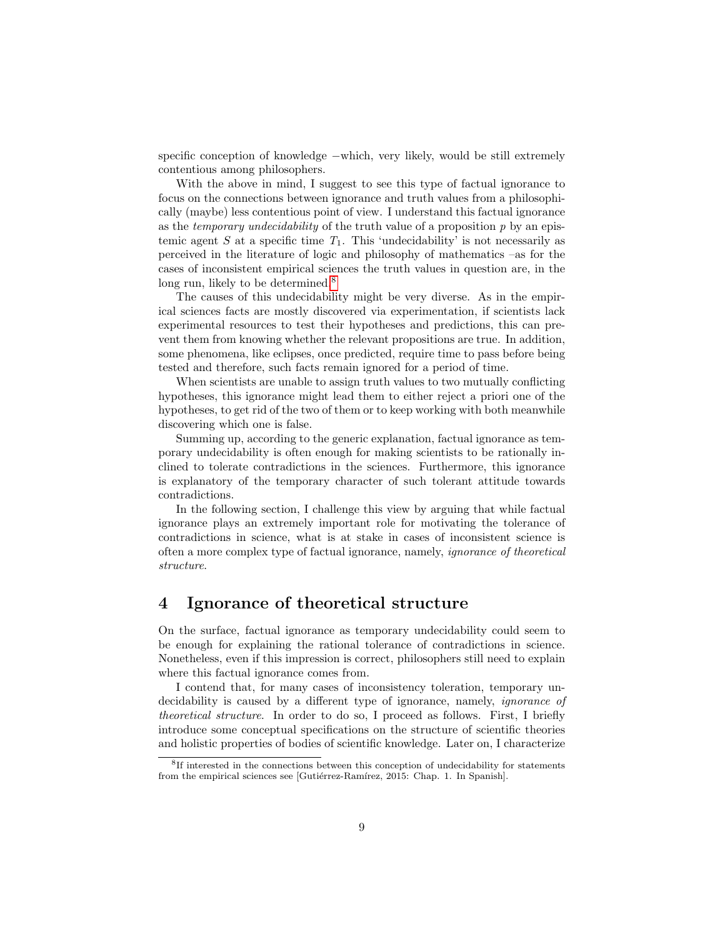specific conception of knowledge –which, very likely, would be still extremely contentious among philosophers.

With the above in mind, I suggest to see this type of factual ignorance to focus on the connections between ignorance and truth values from a philosophically (maybe) less contentious point of view. I understand this factual ignorance as the *temporary undecidability* of the truth value of a proposition  $p$  by an epistemic agent S at a specific time  $T_1$ . This 'undecidability' is not necessarily as perceived in the literature of logic and philosophy of mathematics –as for the cases of inconsistent empirical sciences the truth values in question are, in the long run, likely to be determined.<sup>[8](#page-8-1)</sup>

The causes of this undecidability might be very diverse. As in the empirical sciences facts are mostly discovered via experimentation, if scientists lack experimental resources to test their hypotheses and predictions, this can prevent them from knowing whether the relevant propositions are true. In addition, some phenomena, like eclipses, once predicted, require time to pass before being tested and therefore, such facts remain ignored for a period of time.

When scientists are unable to assign truth values to two mutually conflicting hypotheses, this ignorance might lead them to either reject a priori one of the hypotheses, to get rid of the two of them or to keep working with both meanwhile discovering which one is false.

Summing up, according to the generic explanation, factual ignorance as temporary undecidability is often enough for making scientists to be rationally inclined to tolerate contradictions in the sciences. Furthermore, this ignorance is explanatory of the temporary character of such tolerant attitude towards contradictions.

In the following section, I challenge this view by arguing that while factual ignorance plays an extremely important role for motivating the tolerance of contradictions in science, what is at stake in cases of inconsistent science is often a more complex type of factual ignorance, namely, ignorance of theoretical structure.

# <span id="page-8-0"></span>4 Ignorance of theoretical structure

On the surface, factual ignorance as temporary undecidability could seem to be enough for explaining the rational tolerance of contradictions in science. Nonetheless, even if this impression is correct, philosophers still need to explain where this factual ignorance comes from.

I contend that, for many cases of inconsistency toleration, temporary undecidability is caused by a different type of ignorance, namely, *ignorance* of theoretical structure. In order to do so, I proceed as follows. First, I briefly introduce some conceptual specifications on the structure of scientific theories and holistic properties of bodies of scientific knowledge. Later on, I characterize

<span id="page-8-1"></span><sup>&</sup>lt;sup>8</sup>If interested in the connections between this conception of undecidability for statements from the empirical sciences see [Gutiérrez-Ramírez, 2015: Chap. 1. In Spanish].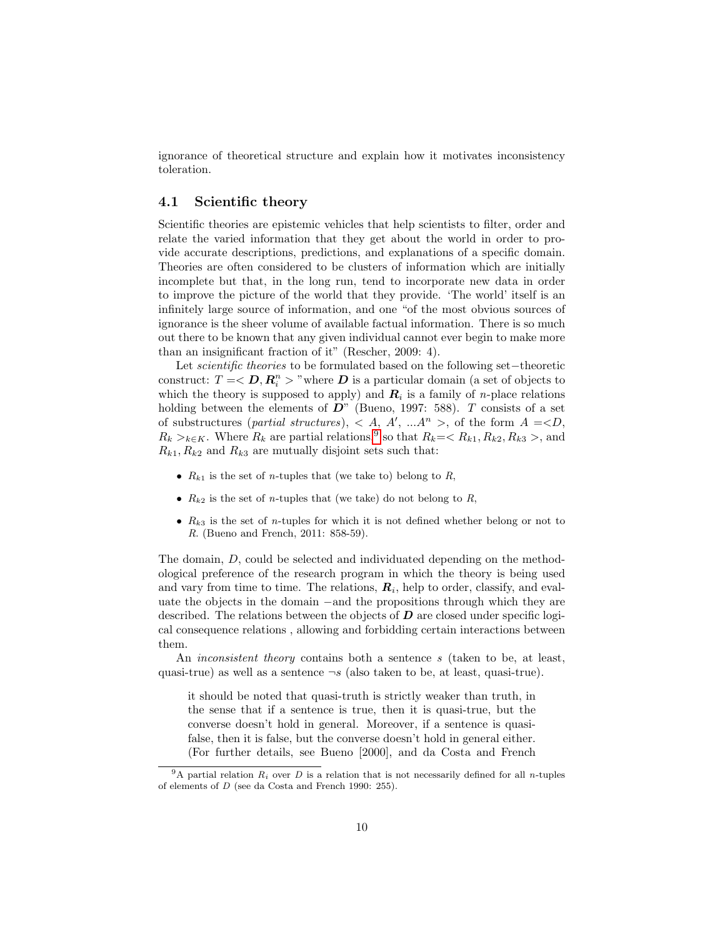ignorance of theoretical structure and explain how it motivates inconsistency toleration.

### 4.1 Scientific theory

Scientific theories are epistemic vehicles that help scientists to filter, order and relate the varied information that they get about the world in order to provide accurate descriptions, predictions, and explanations of a specific domain. Theories are often considered to be clusters of information which are initially incomplete but that, in the long run, tend to incorporate new data in order to improve the picture of the world that they provide. 'The world' itself is an infinitely large source of information, and one "of the most obvious sources of ignorance is the sheer volume of available factual information. There is so much out there to be known that any given individual cannot ever begin to make more than an insignificant fraction of it" (Rescher, 2009: 4).

Let scientific theories to be formulated based on the following set−theoretic construct:  $T = \langle D, R_i^n \rangle$  "where  $D$  is a particular domain (a set of objects to which the theory is supposed to apply) and  $R_i$  is a family of *n*-place relations holding between the elements of  $D^{\prime\prime}$  (Bueno, 1997: 588). T consists of a set of substructures (*partial structures*),  $\langle A, A', ... A^n \rangle$ , of the form  $A = D$ ,  $R_k >_{k \in K}$ . Where  $R_k$  are partial relations,<sup>[9](#page-9-0)</sup> so that  $R_k = \langle R_{k1}, R_{k2}, R_{k3} \rangle$ , and  $R_{k1}, R_{k2}$  and  $R_{k3}$  are mutually disjoint sets such that:

- $R_{k1}$  is the set of *n*-tuples that (we take to) belong to R,
- $R_{k2}$  is the set of *n*-tuples that (we take) do not belong to R,
- $R_{k3}$  is the set of *n*-tuples for which it is not defined whether belong or not to R. (Bueno and French, 2011: 858-59).

The domain, D, could be selected and individuated depending on the methodological preference of the research program in which the theory is being used and vary from time to time. The relations,  $R_i$ , help to order, classify, and evaluate the objects in the domain −and the propositions through which they are described. The relations between the objects of  $\bm{D}$  are closed under specific logical consequence relations , allowing and forbidding certain interactions between them.

An *inconsistent theory* contains both a sentence s (taken to be, at least, quasi-true) as well as a sentence  $\neg s$  (also taken to be, at least, quasi-true).

it should be noted that quasi-truth is strictly weaker than truth, in the sense that if a sentence is true, then it is quasi-true, but the converse doesn't hold in general. Moreover, if a sentence is quasifalse, then it is false, but the converse doesn't hold in general either. (For further details, see Bueno [2000], and da Costa and French

<span id="page-9-0"></span><sup>&</sup>lt;sup>9</sup>A partial relation  $R_i$  over D is a relation that is not necessarily defined for all n-tuples of elements of D (see da Costa and French 1990: 255).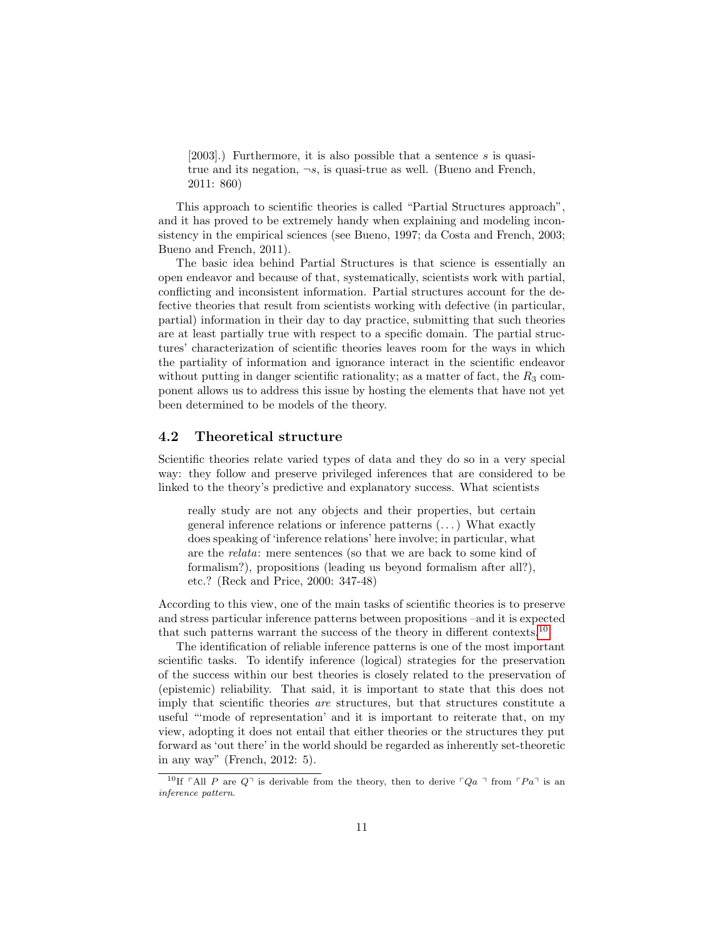[2003].) Furthermore, it is also possible that a sentence s is quasitrue and its negation,  $\neg s$ , is quasi-true as well. (Bueno and French, 2011: 860)

This approach to scientific theories is called "Partial Structures approach", and it has proved to be extremely handy when explaining and modeling inconsistency in the empirical sciences (see Bueno, 1997; da Costa and French, 2003; Bueno and French, 2011).

The basic idea behind Partial Structures is that science is essentially an open endeavor and because of that, systematically, scientists work with partial, conflicting and inconsistent information. Partial structures account for the defective theories that result from scientists working with defective (in particular, partial) information in their day to day practice, submitting that such theories are at least partially true with respect to a specific domain. The partial structures' characterization of scientific theories leaves room for the ways in which the partiality of information and ignorance interact in the scientific endeavor without putting in danger scientific rationality; as a matter of fact, the  $R_3$  component allows us to address this issue by hosting the elements that have not yet been determined to be models of the theory.

### 4.2 Theoretical structure

Scientific theories relate varied types of data and they do so in a very special way: they follow and preserve privileged inferences that are considered to be linked to the theory's predictive and explanatory success. What scientists

really study are not any objects and their properties, but certain general inference relations or inference patterns (. . . ) What exactly does speaking of 'inference relations' here involve; in particular, what are the relata: mere sentences (so that we are back to some kind of formalism?), propositions (leading us beyond formalism after all?), etc.? (Reck and Price, 2000: 347-48)

According to this view, one of the main tasks of scientific theories is to preserve and stress particular inference patterns between propositions –and it is expected that such patterns warrant the success of the theory in different contexts.[10](#page-10-0)

The identification of reliable inference patterns is one of the most important scientific tasks. To identify inference (logical) strategies for the preservation of the success within our best theories is closely related to the preservation of (epistemic) reliability. That said, it is important to state that this does not imply that scientific theories are structures, but that structures constitute a useful "'mode of representation' and it is important to reiterate that, on my view, adopting it does not entail that either theories or the structures they put forward as 'out there' in the world should be regarded as inherently set-theoretic in any way" (French, 2012: 5).

<span id="page-10-0"></span><sup>&</sup>lt;sup>10</sup>If  $\ulcorner$ All P are  $Q\urcorner$  is derivable from the theory, then to derive  $\ulcorner Qa \urcorner$  from  $\ulcorner Pa\urcorner$  is an inference pattern.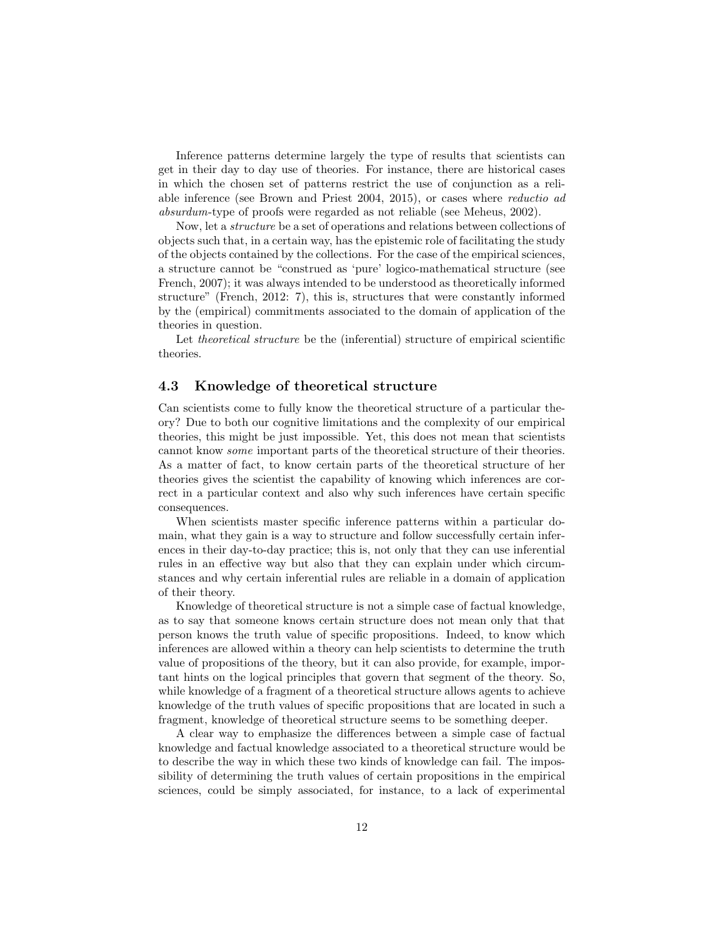Inference patterns determine largely the type of results that scientists can get in their day to day use of theories. For instance, there are historical cases in which the chosen set of patterns restrict the use of conjunction as a reliable inference (see Brown and Priest 2004, 2015), or cases where reductio ad absurdum-type of proofs were regarded as not reliable (see Meheus, 2002).

Now, let a structure be a set of operations and relations between collections of objects such that, in a certain way, has the epistemic role of facilitating the study of the objects contained by the collections. For the case of the empirical sciences, a structure cannot be "construed as 'pure' logico-mathematical structure (see French, 2007); it was always intended to be understood as theoretically informed structure" (French, 2012: 7), this is, structures that were constantly informed by the (empirical) commitments associated to the domain of application of the theories in question.

Let theoretical structure be the (inferential) structure of empirical scientific theories.

#### 4.3 Knowledge of theoretical structure

Can scientists come to fully know the theoretical structure of a particular theory? Due to both our cognitive limitations and the complexity of our empirical theories, this might be just impossible. Yet, this does not mean that scientists cannot know some important parts of the theoretical structure of their theories. As a matter of fact, to know certain parts of the theoretical structure of her theories gives the scientist the capability of knowing which inferences are correct in a particular context and also why such inferences have certain specific consequences.

When scientists master specific inference patterns within a particular domain, what they gain is a way to structure and follow successfully certain inferences in their day-to-day practice; this is, not only that they can use inferential rules in an effective way but also that they can explain under which circumstances and why certain inferential rules are reliable in a domain of application of their theory.

Knowledge of theoretical structure is not a simple case of factual knowledge, as to say that someone knows certain structure does not mean only that that person knows the truth value of specific propositions. Indeed, to know which inferences are allowed within a theory can help scientists to determine the truth value of propositions of the theory, but it can also provide, for example, important hints on the logical principles that govern that segment of the theory. So, while knowledge of a fragment of a theoretical structure allows agents to achieve knowledge of the truth values of specific propositions that are located in such a fragment, knowledge of theoretical structure seems to be something deeper.

A clear way to emphasize the differences between a simple case of factual knowledge and factual knowledge associated to a theoretical structure would be to describe the way in which these two kinds of knowledge can fail. The impossibility of determining the truth values of certain propositions in the empirical sciences, could be simply associated, for instance, to a lack of experimental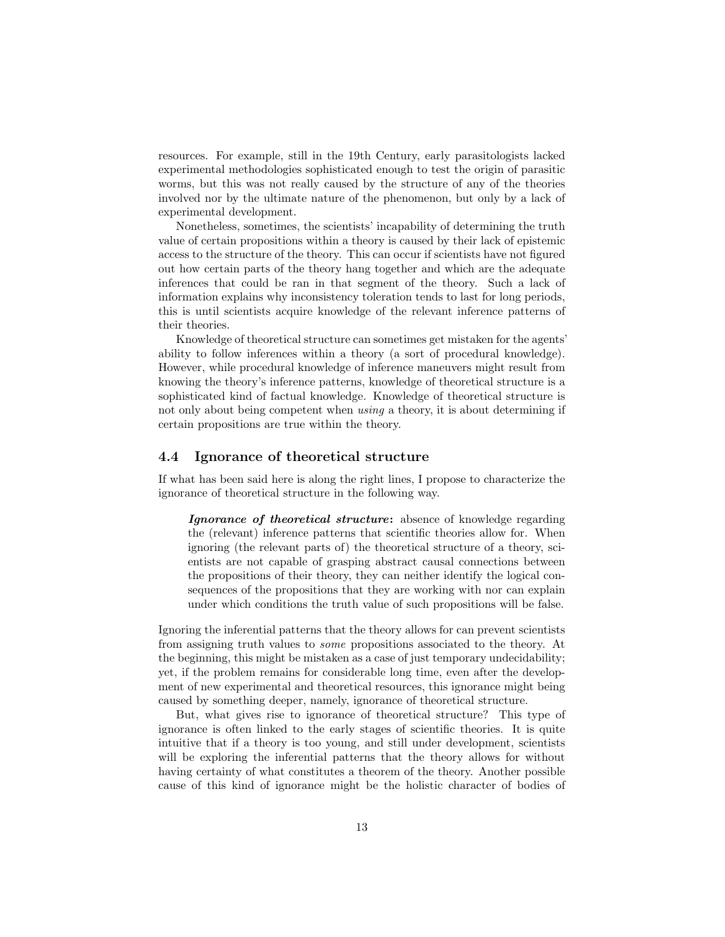resources. For example, still in the 19th Century, early parasitologists lacked experimental methodologies sophisticated enough to test the origin of parasitic worms, but this was not really caused by the structure of any of the theories involved nor by the ultimate nature of the phenomenon, but only by a lack of experimental development.

Nonetheless, sometimes, the scientists' incapability of determining the truth value of certain propositions within a theory is caused by their lack of epistemic access to the structure of the theory. This can occur if scientists have not figured out how certain parts of the theory hang together and which are the adequate inferences that could be ran in that segment of the theory. Such a lack of information explains why inconsistency toleration tends to last for long periods, this is until scientists acquire knowledge of the relevant inference patterns of their theories.

Knowledge of theoretical structure can sometimes get mistaken for the agents' ability to follow inferences within a theory (a sort of procedural knowledge). However, while procedural knowledge of inference maneuvers might result from knowing the theory's inference patterns, knowledge of theoretical structure is a sophisticated kind of factual knowledge. Knowledge of theoretical structure is not only about being competent when using a theory, it is about determining if certain propositions are true within the theory.

#### 4.4 Ignorance of theoretical structure

If what has been said here is along the right lines, I propose to characterize the ignorance of theoretical structure in the following way.

Ignorance of theoretical structure: absence of knowledge regarding the (relevant) inference patterns that scientific theories allow for. When ignoring (the relevant parts of) the theoretical structure of a theory, scientists are not capable of grasping abstract causal connections between the propositions of their theory, they can neither identify the logical consequences of the propositions that they are working with nor can explain under which conditions the truth value of such propositions will be false.

Ignoring the inferential patterns that the theory allows for can prevent scientists from assigning truth values to some propositions associated to the theory. At the beginning, this might be mistaken as a case of just temporary undecidability; yet, if the problem remains for considerable long time, even after the development of new experimental and theoretical resources, this ignorance might being caused by something deeper, namely, ignorance of theoretical structure.

But, what gives rise to ignorance of theoretical structure? This type of ignorance is often linked to the early stages of scientific theories. It is quite intuitive that if a theory is too young, and still under development, scientists will be exploring the inferential patterns that the theory allows for without having certainty of what constitutes a theorem of the theory. Another possible cause of this kind of ignorance might be the holistic character of bodies of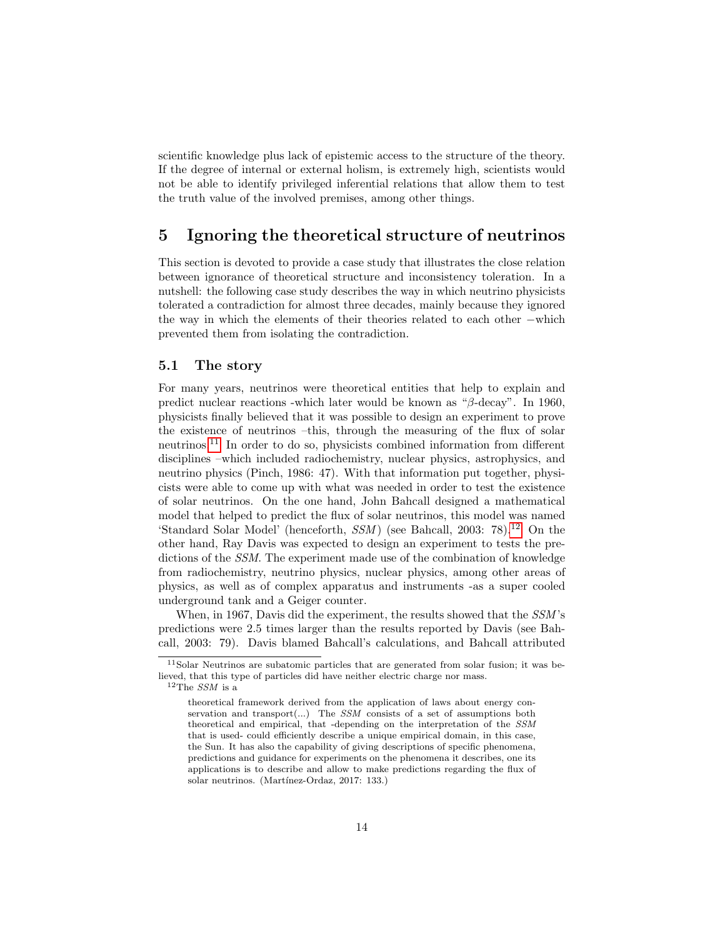scientific knowledge plus lack of epistemic access to the structure of the theory. If the degree of internal or external holism, is extremely high, scientists would not be able to identify privileged inferential relations that allow them to test the truth value of the involved premises, among other things.

# <span id="page-13-0"></span>5 Ignoring the theoretical structure of neutrinos

This section is devoted to provide a case study that illustrates the close relation between ignorance of theoretical structure and inconsistency toleration. In a nutshell: the following case study describes the way in which neutrino physicists tolerated a contradiction for almost three decades, mainly because they ignored the way in which the elements of their theories related to each other −which prevented them from isolating the contradiction.

#### 5.1 The story

For many years, neutrinos were theoretical entities that help to explain and predict nuclear reactions -which later would be known as " $\beta$ -decay". In 1960, physicists finally believed that it was possible to design an experiment to prove the existence of neutrinos –this, through the measuring of the flux of solar neutrinos.[11](#page-13-1) In order to do so, physicists combined information from different disciplines –which included radiochemistry, nuclear physics, astrophysics, and neutrino physics (Pinch, 1986: 47). With that information put together, physicists were able to come up with what was needed in order to test the existence of solar neutrinos. On the one hand, John Bahcall designed a mathematical model that helped to predict the flux of solar neutrinos, this model was named 'Standard Solar Model' (henceforth,  $SSM$ ) (see Bahcall, 2003: 78).<sup>[12](#page-13-2)</sup> On the other hand, Ray Davis was expected to design an experiment to tests the predictions of the SSM. The experiment made use of the combination of knowledge from radiochemistry, neutrino physics, nuclear physics, among other areas of physics, as well as of complex apparatus and instruments -as a super cooled underground tank and a Geiger counter.

When, in 1967, Davis did the experiment, the results showed that the  $SSM$ 's predictions were 2.5 times larger than the results reported by Davis (see Bahcall, 2003: 79). Davis blamed Bahcall's calculations, and Bahcall attributed

<span id="page-13-1"></span><sup>11</sup>Solar Neutrinos are subatomic particles that are generated from solar fusion; it was believed, that this type of particles did have neither electric charge nor mass.  $12$ The SSM is a

<span id="page-13-2"></span>theoretical framework derived from the application of laws about energy conservation and transport $(...)$  The  $SSM$  consists of a set of assumptions both theoretical and empirical, that -depending on the interpretation of the SSM that is used- could efficiently describe a unique empirical domain, in this case, the Sun. It has also the capability of giving descriptions of specific phenomena, predictions and guidance for experiments on the phenomena it describes, one its applications is to describe and allow to make predictions regarding the flux of solar neutrinos. (Martínez-Ordaz, 2017: 133.)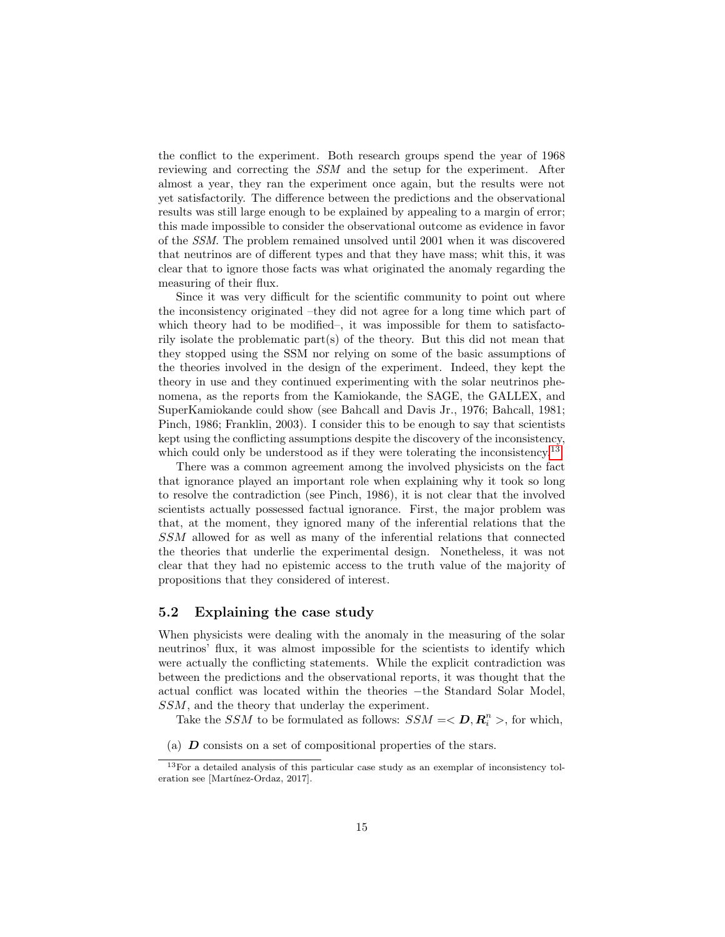the conflict to the experiment. Both research groups spend the year of 1968 reviewing and correcting the SSM and the setup for the experiment. After almost a year, they ran the experiment once again, but the results were not yet satisfactorily. The difference between the predictions and the observational results was still large enough to be explained by appealing to a margin of error; this made impossible to consider the observational outcome as evidence in favor of the SSM. The problem remained unsolved until 2001 when it was discovered that neutrinos are of different types and that they have mass; whit this, it was clear that to ignore those facts was what originated the anomaly regarding the measuring of their flux.

Since it was very difficult for the scientific community to point out where the inconsistency originated –they did not agree for a long time which part of which theory had to be modified–, it was impossible for them to satisfactorily isolate the problematic part(s) of the theory. But this did not mean that they stopped using the SSM nor relying on some of the basic assumptions of the theories involved in the design of the experiment. Indeed, they kept the theory in use and they continued experimenting with the solar neutrinos phenomena, as the reports from the Kamiokande, the SAGE, the GALLEX, and SuperKamiokande could show (see Bahcall and Davis Jr., 1976; Bahcall, 1981; Pinch, 1986; Franklin, 2003). I consider this to be enough to say that scientists kept using the conflicting assumptions despite the discovery of the inconsistency, which could only be understood as if they were tolerating the inconsistency.<sup>[13](#page-14-0)</sup>

There was a common agreement among the involved physicists on the fact that ignorance played an important role when explaining why it took so long to resolve the contradiction (see Pinch, 1986), it is not clear that the involved scientists actually possessed factual ignorance. First, the major problem was that, at the moment, they ignored many of the inferential relations that the SSM allowed for as well as many of the inferential relations that connected the theories that underlie the experimental design. Nonetheless, it was not clear that they had no epistemic access to the truth value of the majority of propositions that they considered of interest.

#### 5.2 Explaining the case study

When physicists were dealing with the anomaly in the measuring of the solar neutrinos' flux, it was almost impossible for the scientists to identify which were actually the conflicting statements. While the explicit contradiction was between the predictions and the observational reports, it was thought that the actual conflict was located within the theories −the Standard Solar Model, SSM, and the theory that underlay the experiment.

Take the *SSM* to be formulated as follows:  $SSM = \langle D, R_i^n \rangle$ , for which,

<sup>(</sup>a)  $\bm{D}$  consists on a set of compositional properties of the stars.

<span id="page-14-0"></span><sup>13</sup>For a detailed analysis of this particular case study as an exemplar of inconsistency toleration see [Martínez-Ordaz, 2017].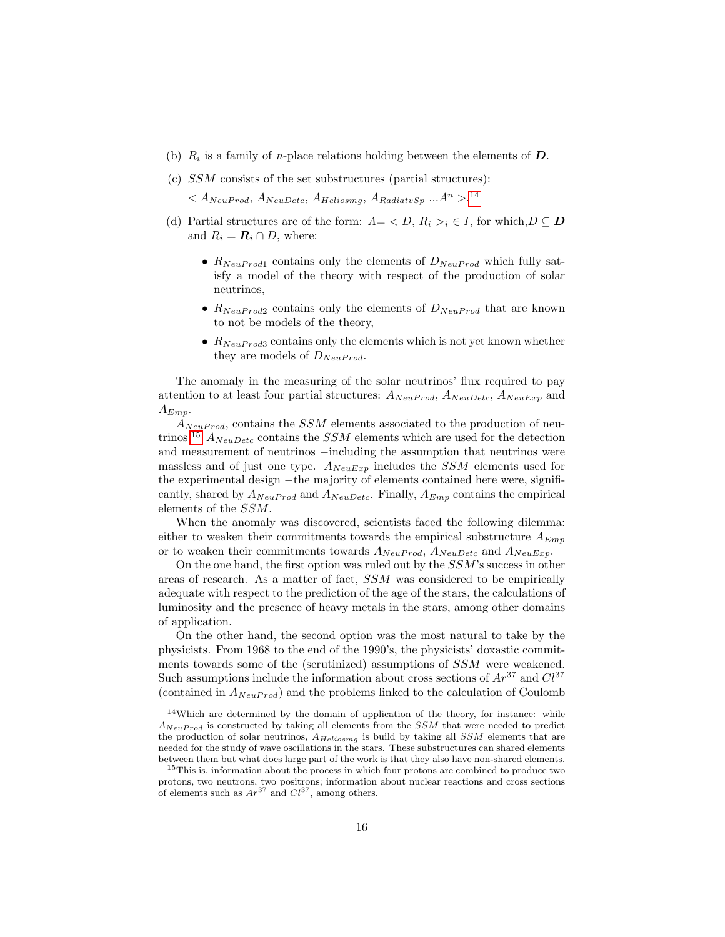- (b)  $R_i$  is a family of *n*-place relations holding between the elements of  $D$ .
- (c) SSM consists of the set substructures (partial structures):

 $\langle A_{NeuProd}, A_{NeuDetc}, A_{Heliosmg}, A_{RadiatvSp} \dots A^n \rangle$ .<sup>[14](#page-15-0)</sup>

- (d) Partial structures are of the form:  $A = \langle D, R_i \rangle_i \in I$ , for which,  $D \subseteq D$ and  $R_i = \mathbf{R}_i \cap D$ , where:
	- $R_{NeuProd1}$  contains only the elements of  $D_{NeuProd}$  which fully satisfy a model of the theory with respect of the production of solar neutrinos,
	- $R_{NeuProd2}$  contains only the elements of  $D_{NeuProd}$  that are known to not be models of the theory,
	- $R_{NeuProd3}$  contains only the elements which is not yet known whether they are models of  $D_{NeuProd}$ .

The anomaly in the measuring of the solar neutrinos' flux required to pay attention to at least four partial structures:  $A_{NeuProd}$ ,  $A_{NeuDetc}$ ,  $A_{NeuExp}$  and  $A_{Emp}$ .

 $A_{NeuProd}$ , contains the *SSM* elements associated to the production of neu-trinos.<sup>[15](#page-15-1)</sup>  $A_{NeuDetc}$  contains the *SSM* elements which are used for the detection and measurement of neutrinos −including the assumption that neutrinos were massless and of just one type.  $A_{NeuExp}$  includes the SSM elements used for the experimental design −the majority of elements contained here were, significantly, shared by  $A_{NeuProd}$  and  $A_{NeuDetc}$ . Finally,  $A_{Emp}$  contains the empirical elements of the SSM.

When the anomaly was discovered, scientists faced the following dilemma: either to weaken their commitments towards the empirical substructure  $A_{Emp}$ or to weaken their commitments towards  $A_{NeuProd}$ ,  $A_{NeuDetc}$  and  $A_{NeuExp}$ .

On the one hand, the first option was ruled out by the SSM's success in other areas of research. As a matter of fact, SSM was considered to be empirically adequate with respect to the prediction of the age of the stars, the calculations of luminosity and the presence of heavy metals in the stars, among other domains of application.

On the other hand, the second option was the most natural to take by the physicists. From 1968 to the end of the 1990's, the physicists' doxastic commitments towards some of the (scrutinized) assumptions of SSM were weakened. Such assumptions include the information about cross sections of  $Ar^{37}$  and  $Cl^{37}$ (contained in  $A_{NeuProd}$ ) and the problems linked to the calculation of Coulomb

<span id="page-15-0"></span><sup>14</sup>Which are determined by the domain of application of the theory, for instance: while  $A_{NeuProd}$  is constructed by taking all elements from the  $SSM$  that were needed to predict the production of solar neutrinos,  $A_{Heliosmg}$  is build by taking all  $SSM$  elements that are needed for the study of wave oscillations in the stars. These substructures can shared elements between them but what does large part of the work is that they also have non-shared elements.

<span id="page-15-1"></span><sup>&</sup>lt;sup>15</sup>This is, information about the process in which four protons are combined to produce two protons, two neutrons, two positrons; information about nuclear reactions and cross sections of elements such as  $Ar^{37}$  and  $Cl^{37}$ , among others.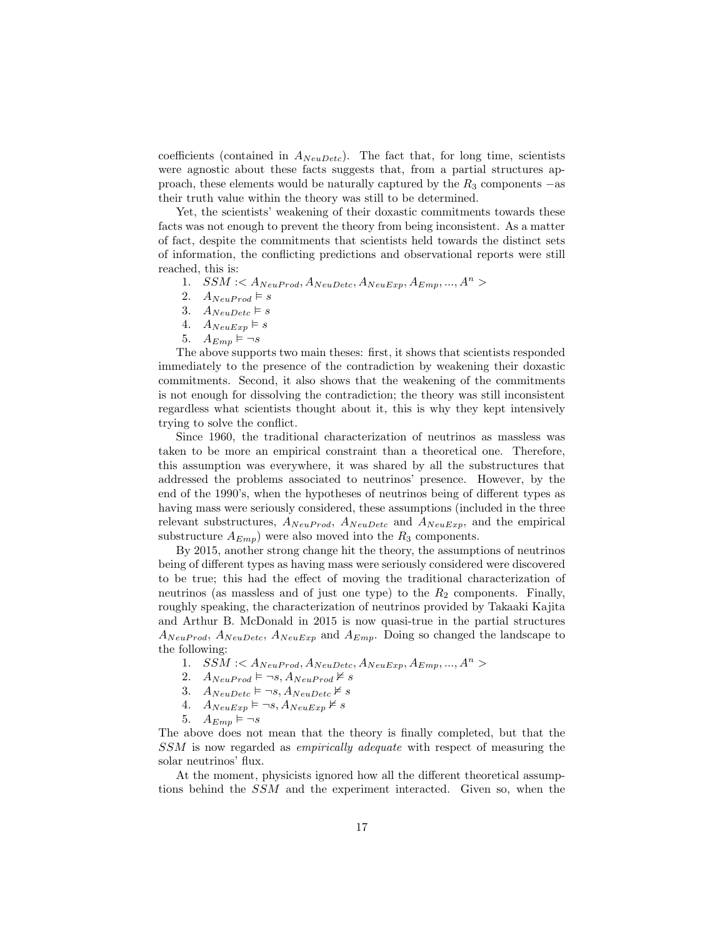coefficients (contained in  $A_{NeuDetc}$ ). The fact that, for long time, scientists were agnostic about these facts suggests that, from a partial structures approach, these elements would be naturally captured by the  $R_3$  components  $-$ as their truth value within the theory was still to be determined.

Yet, the scientists' weakening of their doxastic commitments towards these facts was not enough to prevent the theory from being inconsistent. As a matter of fact, despite the commitments that scientists held towards the distinct sets of information, the conflicting predictions and observational reports were still reached, this is:

- 1.  $SSM < A_{NeuProd}, A_{NeuDetc}, A_{NeuExn}, A_{Emn}, ..., A^{n} >$
- 2.  $A_{NeuProd} \models s$
- 3.  $A_{NeuDetc} \models s$
- 4.  $A_{NeuExp} \models s$
- 5.  $A_{Emp} \models \neg s$

The above supports two main theses: first, it shows that scientists responded immediately to the presence of the contradiction by weakening their doxastic commitments. Second, it also shows that the weakening of the commitments is not enough for dissolving the contradiction; the theory was still inconsistent regardless what scientists thought about it, this is why they kept intensively trying to solve the conflict.

Since 1960, the traditional characterization of neutrinos as massless was taken to be more an empirical constraint than a theoretical one. Therefore, this assumption was everywhere, it was shared by all the substructures that addressed the problems associated to neutrinos' presence. However, by the end of the 1990's, when the hypotheses of neutrinos being of different types as having mass were seriously considered, these assumptions (included in the three relevant substructures,  $A_{NeuProd}$ ,  $A_{NeuDetc}$  and  $A_{NeuExp}$ , and the empirical substructure  $A_{Emp}$ ) were also moved into the  $R_3$  components.

By 2015, another strong change hit the theory, the assumptions of neutrinos being of different types as having mass were seriously considered were discovered to be true; this had the effect of moving the traditional characterization of neutrinos (as massless and of just one type) to the  $R_2$  components. Finally, roughly speaking, the characterization of neutrinos provided by Takaaki Kajita and Arthur B. McDonald in 2015 is now quasi-true in the partial structures  $A_{NeuProd}$ ,  $A_{NeuDetc}$ ,  $A_{NeuExp}$  and  $A_{Emp}$ . Doing so changed the landscape to the following:

- 1.  $SSM < A_{NeuProd}, A_{NeuDetc}, A_{NeuExp}, A_{Emp}, ..., A<sup>n</sup> >$
- 2.  $A_{NeuProd} \models \neg s, A_{NeuProd} \not\models s$
- 3.  $A_{NeuDetc} \models \neg s, A_{NeuDetc} \not\models s$
- 4.  $A_{NeuExp} \models \neg s, A_{NeuExp} \not\vDash s$
- 5.  $A_{Emp} \models \neg s$

The above does not mean that the theory is finally completed, but that the SSM is now regarded as empirically adequate with respect of measuring the solar neutrinos' flux.

At the moment, physicists ignored how all the different theoretical assumptions behind the SSM and the experiment interacted. Given so, when the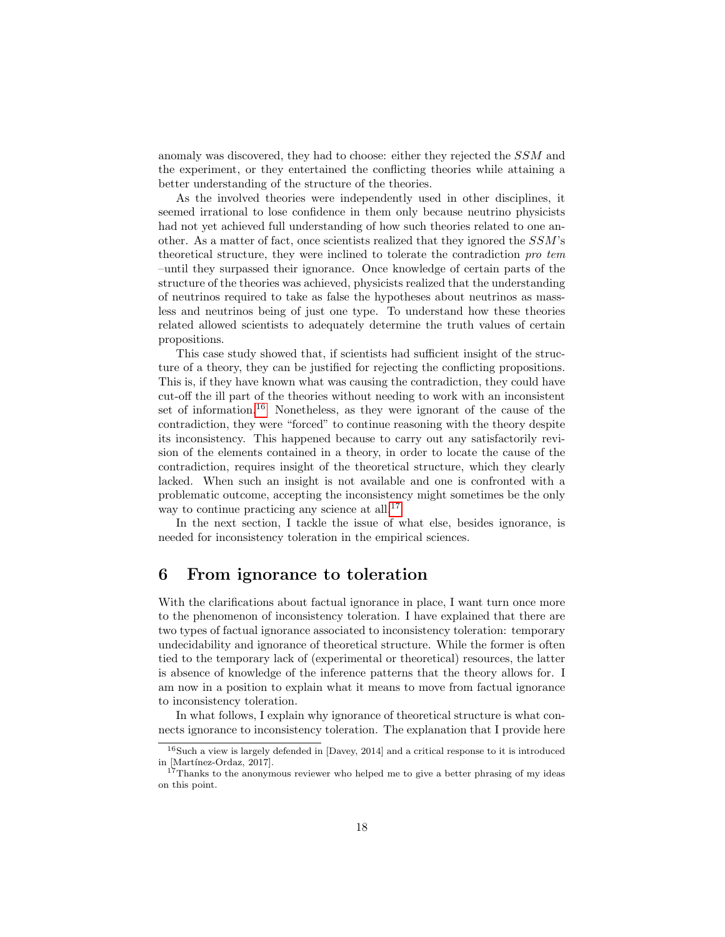anomaly was discovered, they had to choose: either they rejected the SSM and the experiment, or they entertained the conflicting theories while attaining a better understanding of the structure of the theories.

As the involved theories were independently used in other disciplines, it seemed irrational to lose confidence in them only because neutrino physicists had not yet achieved full understanding of how such theories related to one another. As a matter of fact, once scientists realized that they ignored the SSM's theoretical structure, they were inclined to tolerate the contradiction pro tem –until they surpassed their ignorance. Once knowledge of certain parts of the structure of the theories was achieved, physicists realized that the understanding of neutrinos required to take as false the hypotheses about neutrinos as massless and neutrinos being of just one type. To understand how these theories related allowed scientists to adequately determine the truth values of certain propositions.

This case study showed that, if scientists had sufficient insight of the structure of a theory, they can be justified for rejecting the conflicting propositions. This is, if they have known what was causing the contradiction, they could have cut-off the ill part of the theories without needing to work with an inconsistent set of information.[16](#page-17-1) Nonetheless, as they were ignorant of the cause of the contradiction, they were "forced" to continue reasoning with the theory despite its inconsistency. This happened because to carry out any satisfactorily revision of the elements contained in a theory, in order to locate the cause of the contradiction, requires insight of the theoretical structure, which they clearly lacked. When such an insight is not available and one is confronted with a problematic outcome, accepting the inconsistency might sometimes be the only way to continue practicing any science at all.<sup>[17](#page-17-2)</sup>

In the next section, I tackle the issue of what else, besides ignorance, is needed for inconsistency toleration in the empirical sciences.

## <span id="page-17-0"></span>6 From ignorance to toleration

With the clarifications about factual ignorance in place, I want turn once more to the phenomenon of inconsistency toleration. I have explained that there are two types of factual ignorance associated to inconsistency toleration: temporary undecidability and ignorance of theoretical structure. While the former is often tied to the temporary lack of (experimental or theoretical) resources, the latter is absence of knowledge of the inference patterns that the theory allows for. I am now in a position to explain what it means to move from factual ignorance to inconsistency toleration.

In what follows, I explain why ignorance of theoretical structure is what connects ignorance to inconsistency toleration. The explanation that I provide here

<span id="page-17-1"></span> $16$ Such a view is largely defended in [Davey, 2014] and a critical response to it is introduced in [Martínez-Ordaz, 2017].

<span id="page-17-2"></span><sup>&</sup>lt;sup>17</sup>Thanks to the anonymous reviewer who helped me to give a better phrasing of my ideas on this point.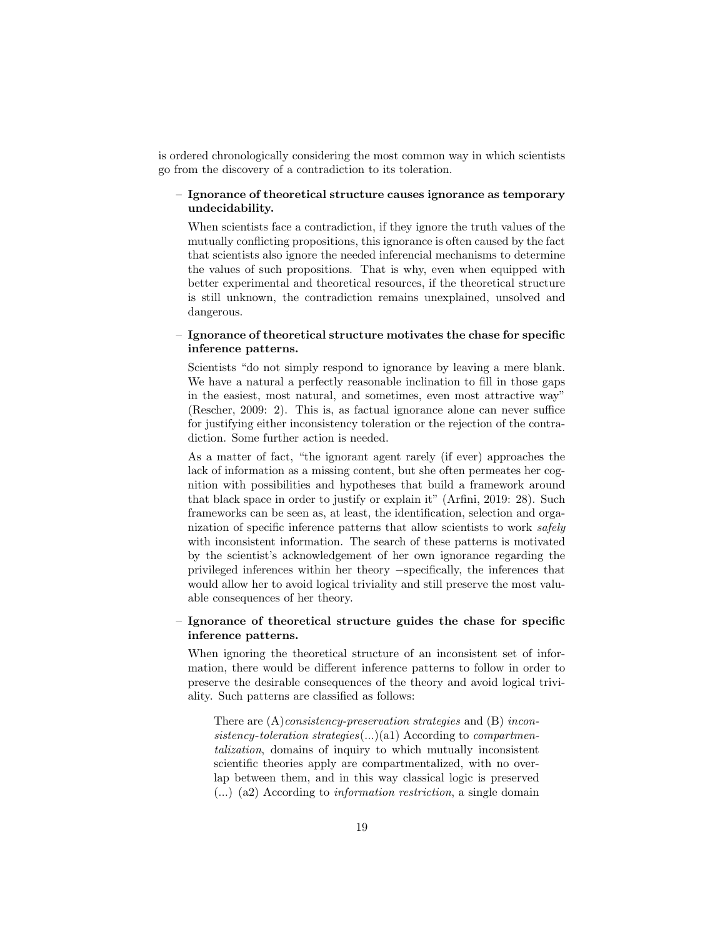is ordered chronologically considering the most common way in which scientists go from the discovery of a contradiction to its toleration.

#### – Ignorance of theoretical structure causes ignorance as temporary undecidability.

When scientists face a contradiction, if they ignore the truth values of the mutually conflicting propositions, this ignorance is often caused by the fact that scientists also ignore the needed inferencial mechanisms to determine the values of such propositions. That is why, even when equipped with better experimental and theoretical resources, if the theoretical structure is still unknown, the contradiction remains unexplained, unsolved and dangerous.

#### – Ignorance of theoretical structure motivates the chase for specific inference patterns.

Scientists "do not simply respond to ignorance by leaving a mere blank. We have a natural a perfectly reasonable inclination to fill in those gaps in the easiest, most natural, and sometimes, even most attractive way" (Rescher, 2009: 2). This is, as factual ignorance alone can never suffice for justifying either inconsistency toleration or the rejection of the contradiction. Some further action is needed.

As a matter of fact, "the ignorant agent rarely (if ever) approaches the lack of information as a missing content, but she often permeates her cognition with possibilities and hypotheses that build a framework around that black space in order to justify or explain it" (Arfini, 2019: 28). Such frameworks can be seen as, at least, the identification, selection and organization of specific inference patterns that allow scientists to work safely with inconsistent information. The search of these patterns is motivated by the scientist's acknowledgement of her own ignorance regarding the privileged inferences within her theory −specifically, the inferences that would allow her to avoid logical triviality and still preserve the most valuable consequences of her theory.

#### – Ignorance of theoretical structure guides the chase for specific inference patterns.

When ignoring the theoretical structure of an inconsistent set of information, there would be different inference patterns to follow in order to preserve the desirable consequences of the theory and avoid logical triviality. Such patterns are classified as follows:

There are  $(A)$ *consistency-preservation strategies* and  $(B)$  *incon*sistency-toleration strategies(...)(a1) According to compartmentalization, domains of inquiry to which mutually inconsistent scientific theories apply are compartmentalized, with no overlap between them, and in this way classical logic is preserved (...) (a2) According to information restriction, a single domain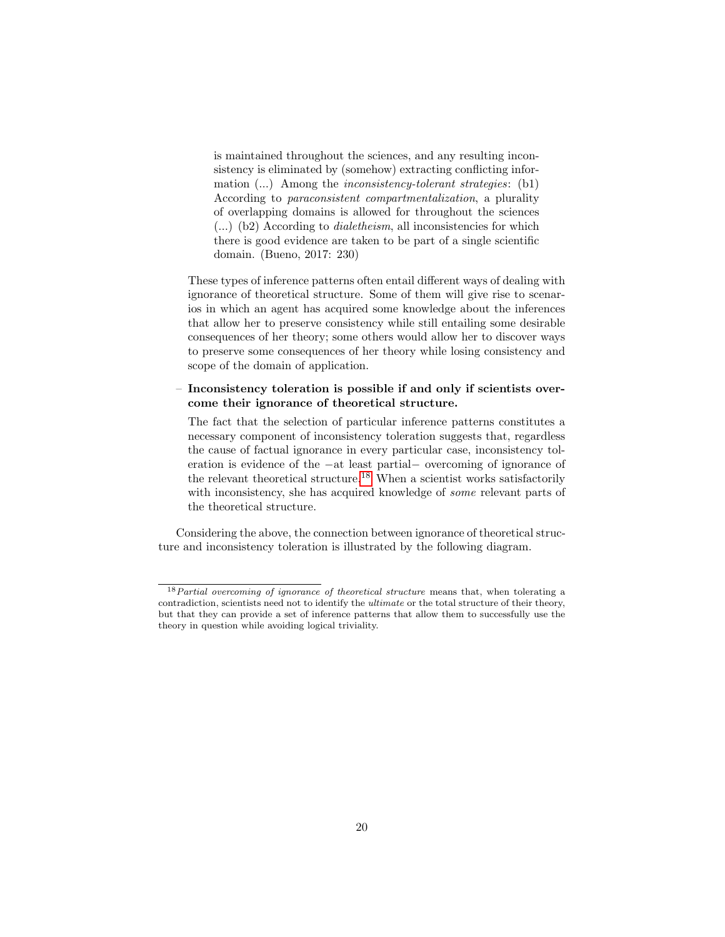is maintained throughout the sciences, and any resulting inconsistency is eliminated by (somehow) extracting conflicting information  $(...)$  Among the *inconsistency-tolerant strategies*:  $(b1)$ According to paraconsistent compartmentalization, a plurality of overlapping domains is allowed for throughout the sciences (...) (b2) According to dialetheism, all inconsistencies for which there is good evidence are taken to be part of a single scientific domain. (Bueno, 2017: 230)

These types of inference patterns often entail different ways of dealing with ignorance of theoretical structure. Some of them will give rise to scenarios in which an agent has acquired some knowledge about the inferences that allow her to preserve consistency while still entailing some desirable consequences of her theory; some others would allow her to discover ways to preserve some consequences of her theory while losing consistency and scope of the domain of application.

#### – Inconsistency toleration is possible if and only if scientists overcome their ignorance of theoretical structure.

The fact that the selection of particular inference patterns constitutes a necessary component of inconsistency toleration suggests that, regardless the cause of factual ignorance in every particular case, inconsistency toleration is evidence of the −at least partial− overcoming of ignorance of the relevant theoretical structure.<sup>[18](#page-19-0)</sup> When a scientist works satisfactorily with inconsistency, she has acquired knowledge of some relevant parts of the theoretical structure.

Considering the above, the connection between ignorance of theoretical structure and inconsistency toleration is illustrated by the following diagram.

<span id="page-19-0"></span> $18$  Partial overcoming of ignorance of theoretical structure means that, when tolerating a contradiction, scientists need not to identify the ultimate or the total structure of their theory, but that they can provide a set of inference patterns that allow them to successfully use the theory in question while avoiding logical triviality.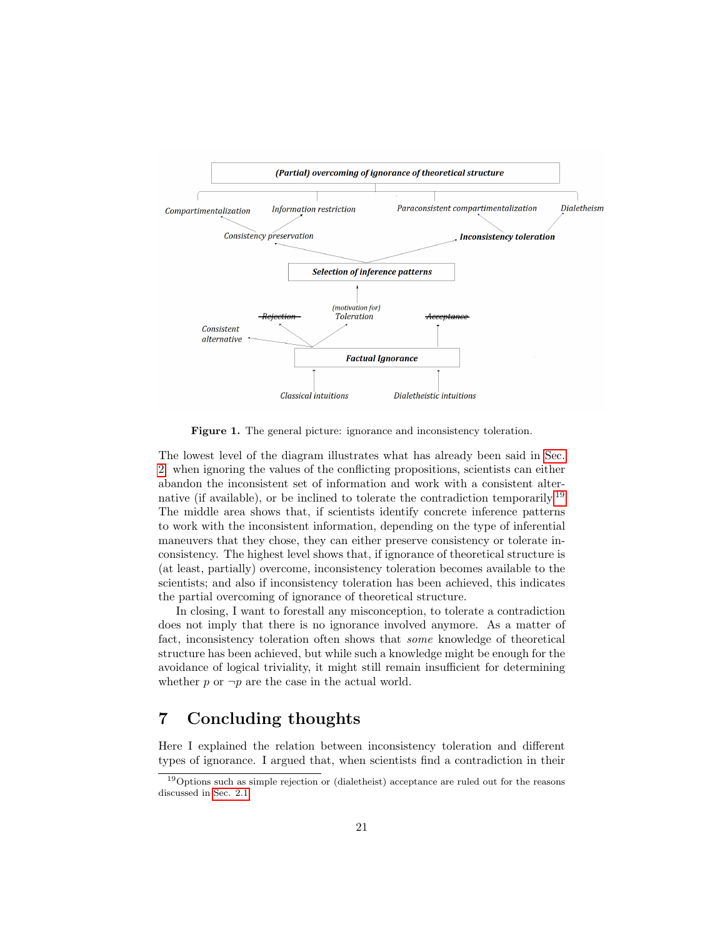

Figure 1. The general picture: ignorance and inconsistency toleration.

The lowest level of the diagram illustrates what has already been said in [Sec.](#page-2-0) [2:](#page-2-0) when ignoring the values of the conflicting propositions, scientists can either abandon the inconsistent set of information and work with a consistent alter-native (if available), or be inclined to tolerate the contradiction temporarily.<sup>[19](#page-20-1)</sup> The middle area shows that, if scientists identify concrete inference patterns to work with the inconsistent information, depending on the type of inferential maneuvers that they chose, they can either preserve consistency or tolerate inconsistency. The highest level shows that, if ignorance of theoretical structure is (at least, partially) overcome, inconsistency toleration becomes available to the scientists; and also if inconsistency toleration has been achieved, this indicates the partial overcoming of ignorance of theoretical structure.

In closing, I want to forestall any misconception, to tolerate a contradiction does not imply that there is no ignorance involved anymore. As a matter of fact, inconsistency toleration often shows that some knowledge of theoretical structure has been achieved, but while such a knowledge might be enough for the avoidance of logical triviality, it might still remain insufficient for determining whether  $p$  or  $\neg p$  are the case in the actual world.

# <span id="page-20-0"></span>7 Concluding thoughts

Here I explained the relation between inconsistency toleration and different types of ignorance. I argued that, when scientists find a contradiction in their

<span id="page-20-1"></span> $19$  Options such as simple rejection or (dialetheist) acceptance are ruled out for the reasons discussed in [Sec. 2.1.](#page-2-0)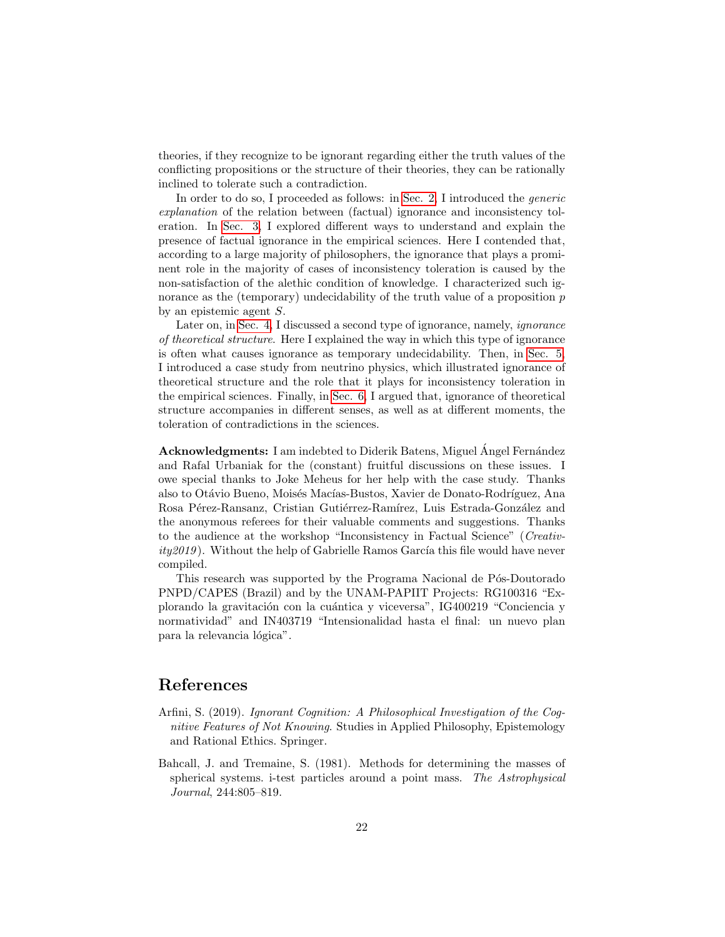theories, if they recognize to be ignorant regarding either the truth values of the conflicting propositions or the structure of their theories, they can be rationally inclined to tolerate such a contradiction.

In order to do so, I proceeded as follows: in [Sec. 2,](#page-2-0) I introduced the *generic* explanation of the relation between (factual) ignorance and inconsistency toleration. In [Sec. 3,](#page-5-0) I explored different ways to understand and explain the presence of factual ignorance in the empirical sciences. Here I contended that, according to a large majority of philosophers, the ignorance that plays a prominent role in the majority of cases of inconsistency toleration is caused by the non-satisfaction of the alethic condition of knowledge. I characterized such ignorance as the (temporary) undecidability of the truth value of a proposition  $p$ by an epistemic agent S.

Later on, in [Sec. 4,](#page-8-0) I discussed a second type of ignorance, namely, ignorance of theoretical structure. Here I explained the way in which this type of ignorance is often what causes ignorance as temporary undecidability. Then, in [Sec. 5,](#page-13-0) I introduced a case study from neutrino physics, which illustrated ignorance of theoretical structure and the role that it plays for inconsistency toleration in the empirical sciences. Finally, in [Sec. 6,](#page-17-0) I argued that, ignorance of theoretical structure accompanies in different senses, as well as at different moments, the toleration of contradictions in the sciences.

Acknowledgments: I am indebted to Diderik Batens, Miguel Angel Fernández and Rafal Urbaniak for the (constant) fruitful discussions on these issues. I owe special thanks to Joke Meheus for her help with the case study. Thanks also to Otávio Bueno, Moisés Macías-Bustos, Xavier de Donato-Rodríguez, Ana Rosa Pérez-Ransanz, Cristian Gutiérrez-Ramírez, Luis Estrada-González and the anonymous referees for their valuable comments and suggestions. Thanks to the audience at the workshop "Inconsistency in Factual Science" (Creativ $ity2019$ . Without the help of Gabrielle Ramos García this file would have never compiled.

This research was supported by the Programa Nacional de Pós-Doutorado PNPD/CAPES (Brazil) and by the UNAM-PAPIIT Projects: RG100316 "Explorando la gravitación con la cuántica y viceversa", IG400219 "Conciencia y normatividad" and IN403719 "Intensionalidad hasta el final: un nuevo plan para la relevancia lógica".

# References

- Arfini, S. (2019). Ignorant Cognition: A Philosophical Investigation of the Cognitive Features of Not Knowing. Studies in Applied Philosophy, Epistemology and Rational Ethics. Springer.
- Bahcall, J. and Tremaine, S. (1981). Methods for determining the masses of spherical systems. i-test particles around a point mass. The Astrophysical Journal, 244:805–819.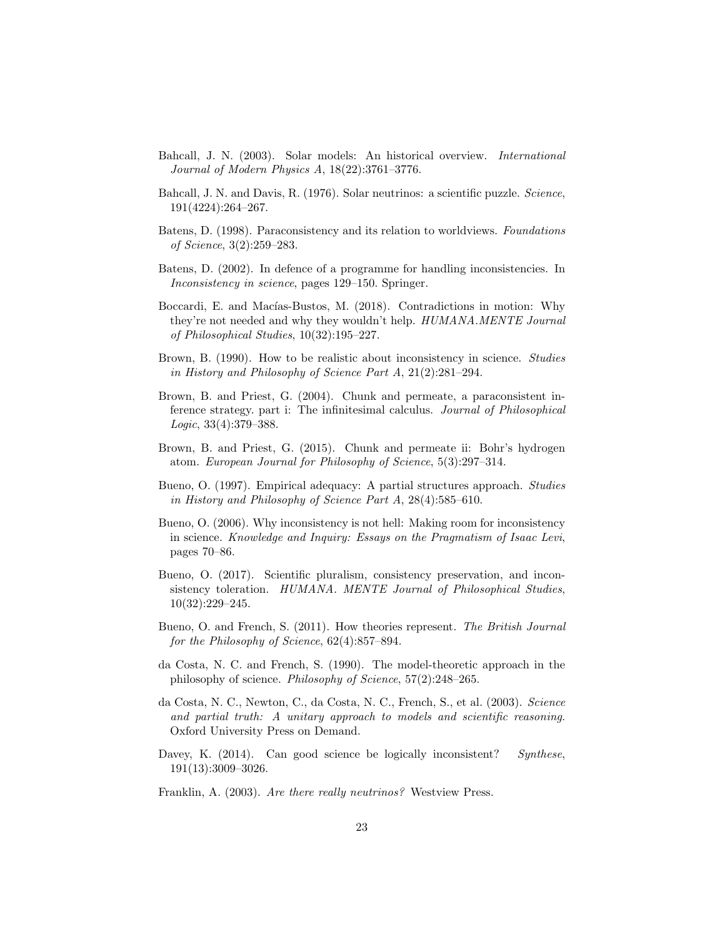- Bahcall, J. N. (2003). Solar models: An historical overview. International Journal of Modern Physics A, 18(22):3761–3776.
- Bahcall, J. N. and Davis, R. (1976). Solar neutrinos: a scientific puzzle. Science, 191(4224):264–267.
- Batens, D. (1998). Paraconsistency and its relation to worldviews. Foundations of Science, 3(2):259–283.
- Batens, D. (2002). In defence of a programme for handling inconsistencies. In Inconsistency in science, pages 129–150. Springer.
- Boccardi, E. and Macías-Bustos, M. (2018). Contradictions in motion: Why they're not needed and why they wouldn't help. HUMANA.MENTE Journal of Philosophical Studies, 10(32):195–227.
- Brown, B. (1990). How to be realistic about inconsistency in science. *Studies* in History and Philosophy of Science Part A, 21(2):281–294.
- Brown, B. and Priest, G. (2004). Chunk and permeate, a paraconsistent inference strategy. part i: The infinitesimal calculus. Journal of Philosophical Logic, 33(4):379–388.
- Brown, B. and Priest, G. (2015). Chunk and permeate ii: Bohr's hydrogen atom. European Journal for Philosophy of Science, 5(3):297–314.
- Bueno, O. (1997). Empirical adequacy: A partial structures approach. Studies in History and Philosophy of Science Part A, 28(4):585–610.
- Bueno, O. (2006). Why inconsistency is not hell: Making room for inconsistency in science. Knowledge and Inquiry: Essays on the Pragmatism of Isaac Levi, pages 70–86.
- Bueno, O. (2017). Scientific pluralism, consistency preservation, and inconsistency toleration. HUMANA. MENTE Journal of Philosophical Studies, 10(32):229–245.
- Bueno, O. and French, S. (2011). How theories represent. The British Journal for the Philosophy of Science, 62(4):857–894.
- da Costa, N. C. and French, S. (1990). The model-theoretic approach in the philosophy of science. Philosophy of Science, 57(2):248–265.
- da Costa, N. C., Newton, C., da Costa, N. C., French, S., et al. (2003). Science and partial truth: A unitary approach to models and scientific reasoning. Oxford University Press on Demand.
- Davey, K. (2014). Can good science be logically inconsistent? Synthese, 191(13):3009–3026.
- Franklin, A. (2003). Are there really neutrinos? Westview Press.